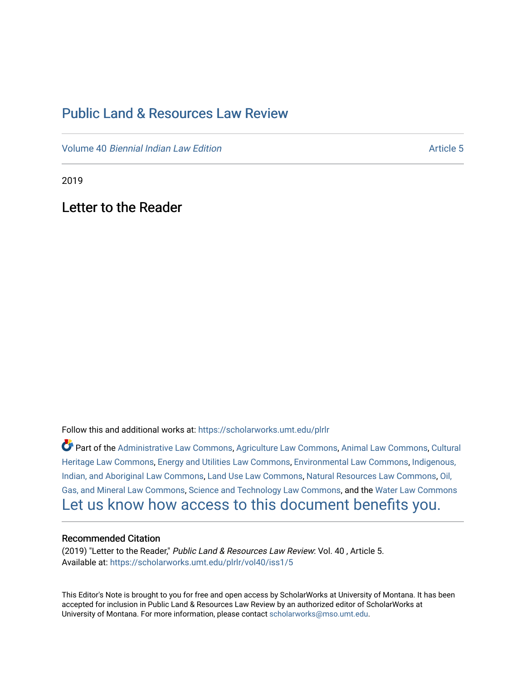## [Public Land & Resources Law Review](https://scholarworks.umt.edu/plrlr)

Volume 40 [Biennial Indian Law Edition](https://scholarworks.umt.edu/plrlr/vol40) Article 5

2019

Letter to the Reader

Follow this and additional works at: [https://scholarworks.umt.edu/plrlr](https://scholarworks.umt.edu/plrlr?utm_source=scholarworks.umt.edu%2Fplrlr%2Fvol40%2Fiss1%2F5&utm_medium=PDF&utm_campaign=PDFCoverPages) 

Part of the [Administrative Law Commons,](http://network.bepress.com/hgg/discipline/579?utm_source=scholarworks.umt.edu%2Fplrlr%2Fvol40%2Fiss1%2F5&utm_medium=PDF&utm_campaign=PDFCoverPages) [Agriculture Law Commons](http://network.bepress.com/hgg/discipline/581?utm_source=scholarworks.umt.edu%2Fplrlr%2Fvol40%2Fiss1%2F5&utm_medium=PDF&utm_campaign=PDFCoverPages), [Animal Law Commons](http://network.bepress.com/hgg/discipline/831?utm_source=scholarworks.umt.edu%2Fplrlr%2Fvol40%2Fiss1%2F5&utm_medium=PDF&utm_campaign=PDFCoverPages), [Cultural](http://network.bepress.com/hgg/discipline/1384?utm_source=scholarworks.umt.edu%2Fplrlr%2Fvol40%2Fiss1%2F5&utm_medium=PDF&utm_campaign=PDFCoverPages)  [Heritage Law Commons](http://network.bepress.com/hgg/discipline/1384?utm_source=scholarworks.umt.edu%2Fplrlr%2Fvol40%2Fiss1%2F5&utm_medium=PDF&utm_campaign=PDFCoverPages), [Energy and Utilities Law Commons,](http://network.bepress.com/hgg/discipline/891?utm_source=scholarworks.umt.edu%2Fplrlr%2Fvol40%2Fiss1%2F5&utm_medium=PDF&utm_campaign=PDFCoverPages) [Environmental Law Commons](http://network.bepress.com/hgg/discipline/599?utm_source=scholarworks.umt.edu%2Fplrlr%2Fvol40%2Fiss1%2F5&utm_medium=PDF&utm_campaign=PDFCoverPages), [Indigenous,](http://network.bepress.com/hgg/discipline/894?utm_source=scholarworks.umt.edu%2Fplrlr%2Fvol40%2Fiss1%2F5&utm_medium=PDF&utm_campaign=PDFCoverPages)  [Indian, and Aboriginal Law Commons](http://network.bepress.com/hgg/discipline/894?utm_source=scholarworks.umt.edu%2Fplrlr%2Fvol40%2Fiss1%2F5&utm_medium=PDF&utm_campaign=PDFCoverPages), [Land Use Law Commons](http://network.bepress.com/hgg/discipline/852?utm_source=scholarworks.umt.edu%2Fplrlr%2Fvol40%2Fiss1%2F5&utm_medium=PDF&utm_campaign=PDFCoverPages), [Natural Resources Law Commons](http://network.bepress.com/hgg/discipline/863?utm_source=scholarworks.umt.edu%2Fplrlr%2Fvol40%2Fiss1%2F5&utm_medium=PDF&utm_campaign=PDFCoverPages), [Oil,](http://network.bepress.com/hgg/discipline/864?utm_source=scholarworks.umt.edu%2Fplrlr%2Fvol40%2Fiss1%2F5&utm_medium=PDF&utm_campaign=PDFCoverPages) [Gas, and Mineral Law Commons](http://network.bepress.com/hgg/discipline/864?utm_source=scholarworks.umt.edu%2Fplrlr%2Fvol40%2Fiss1%2F5&utm_medium=PDF&utm_campaign=PDFCoverPages), [Science and Technology Law Commons,](http://network.bepress.com/hgg/discipline/875?utm_source=scholarworks.umt.edu%2Fplrlr%2Fvol40%2Fiss1%2F5&utm_medium=PDF&utm_campaign=PDFCoverPages) and the [Water Law Commons](http://network.bepress.com/hgg/discipline/887?utm_source=scholarworks.umt.edu%2Fplrlr%2Fvol40%2Fiss1%2F5&utm_medium=PDF&utm_campaign=PDFCoverPages) [Let us know how access to this document benefits you.](https://goo.gl/forms/s2rGfXOLzz71qgsB2) 

## Recommended Citation

(2019) "Letter to the Reader," Public Land & Resources Law Review: Vol. 40 , Article 5. Available at: [https://scholarworks.umt.edu/plrlr/vol40/iss1/5](https://scholarworks.umt.edu/plrlr/vol40/iss1/5?utm_source=scholarworks.umt.edu%2Fplrlr%2Fvol40%2Fiss1%2F5&utm_medium=PDF&utm_campaign=PDFCoverPages)

This Editor's Note is brought to you for free and open access by ScholarWorks at University of Montana. It has been accepted for inclusion in Public Land & Resources Law Review by an authorized editor of ScholarWorks at University of Montana. For more information, please contact [scholarworks@mso.umt.edu.](mailto:scholarworks@mso.umt.edu)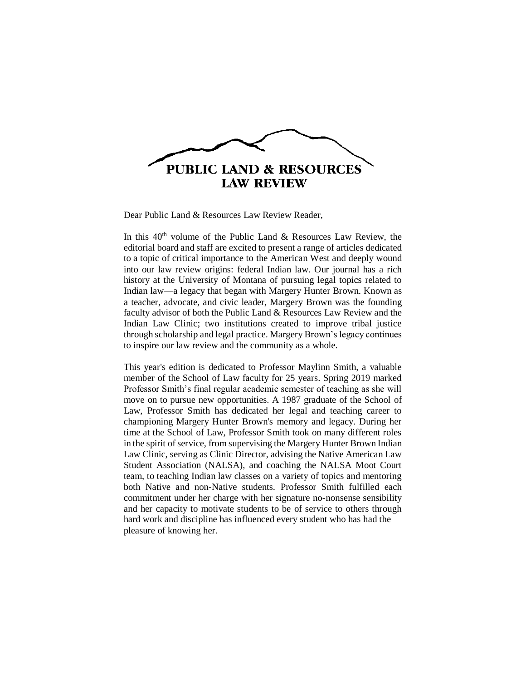

Dear Public Land & Resources Law Review Reader,

In this  $40<sup>th</sup>$  volume of the Public Land & Resources Law Review, the editorial board and staff are excited to present a range of articles dedicated to a topic of critical importance to the American West and deeply wound into our law review origins: federal Indian law. Our journal has a rich history at the University of Montana of pursuing legal topics related to Indian law—a legacy that began with Margery Hunter Brown. Known as a teacher, advocate, and civic leader, Margery Brown was the founding faculty advisor of both the Public Land & Resources Law Review and the Indian Law Clinic; two institutions created to improve tribal justice through scholarship and legal practice. Margery Brown's legacy continues to inspire our law review and the community as a whole.

This year's edition is dedicated to Professor Maylinn Smith, a valuable member of the School of Law faculty for 25 years. Spring 2019 marked Professor Smith's final regular academic semester of teaching as she will move on to pursue new opportunities. A 1987 graduate of the School of Law, Professor Smith has dedicated her legal and teaching career to championing Margery Hunter Brown's memory and legacy. During her time at the School of Law, Professor Smith took on many different roles in the spirit of service, from supervising the Margery Hunter Brown Indian Law Clinic, serving as Clinic Director, advising the Native American Law Student Association (NALSA), and coaching the NALSA Moot Court team, to teaching Indian law classes on a variety of topics and mentoring both Native and non-Native students. Professor Smith fulfilled each commitment under her charge with her signature no-nonsense sensibility and her capacity to motivate students to be of service to others through hard work and discipline has influenced every student who has had the pleasure of knowing her.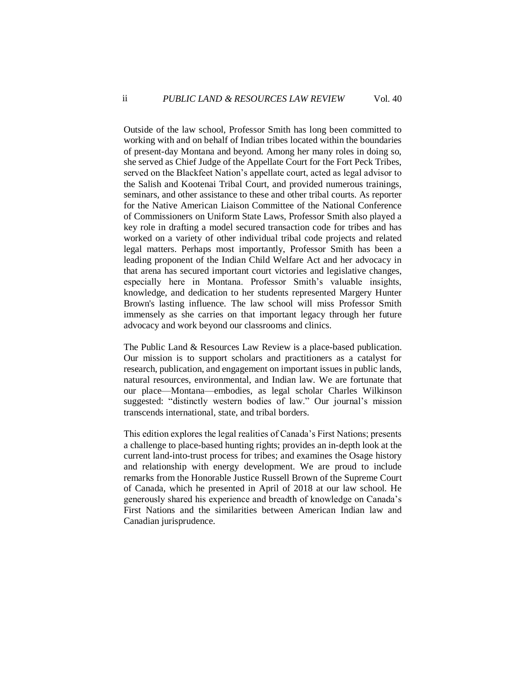Outside of the law school, Professor Smith has long been committed to working with and on behalf of Indian tribes located within the boundaries of present-day Montana and beyond. Among her many roles in doing so, she served as Chief Judge of the Appellate Court for the Fort Peck Tribes, served on the Blackfeet Nation's appellate court, acted as legal advisor to the Salish and Kootenai Tribal Court, and provided numerous trainings, seminars, and other assistance to these and other tribal courts. As reporter for the Native American Liaison Committee of the National Conference of Commissioners on Uniform State Laws, Professor Smith also played a key role in drafting a model secured transaction code for tribes and has worked on a variety of other individual tribal code projects and related legal matters. Perhaps most importantly, Professor Smith has been a leading proponent of the Indian Child Welfare Act and her advocacy in that arena has secured important court victories and legislative changes, especially here in Montana. Professor Smith's valuable insights, knowledge, and dedication to her students represented Margery Hunter Brown's lasting influence. The law school will miss Professor Smith immensely as she carries on that important legacy through her future advocacy and work beyond our classrooms and clinics.

The Public Land & Resources Law Review is a place-based publication. Our mission is to support scholars and practitioners as a catalyst for research, publication, and engagement on important issues in public lands, natural resources, environmental, and Indian law. We are fortunate that our place—Montana—embodies, as legal scholar Charles Wilkinson suggested: "distinctly western bodies of law." Our journal's mission transcends international, state, and tribal borders.

This edition explores the legal realities of Canada's First Nations; presents a challenge to place-based hunting rights; provides an in-depth look at the current land-into-trust process for tribes; and examines the Osage history and relationship with energy development. We are proud to include remarks from the Honorable Justice Russell Brown of the Supreme Court of Canada, which he presented in April of 2018 at our law school. He generously shared his experience and breadth of knowledge on Canada's First Nations and the similarities between American Indian law and Canadian jurisprudence.